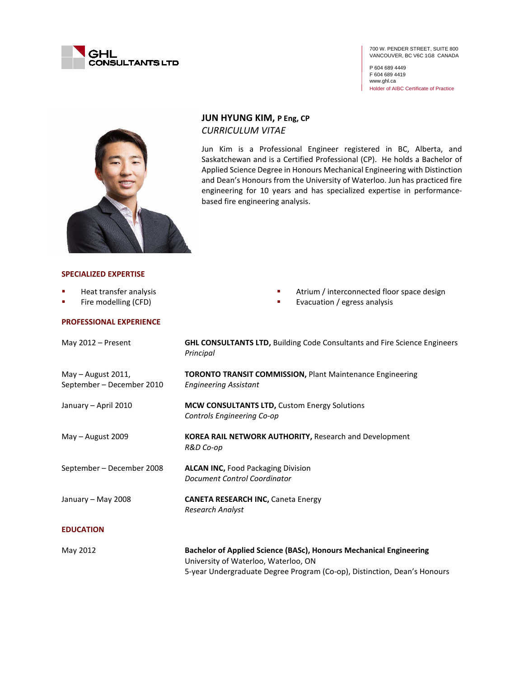

700 W. PENDER STREET, SUITE 800 VANCOUVER, BC V6C 1G8 CANADA

P 604 689 4449 F 604 689 4419 www.ghl.ca Holder of AIBC Certificate of Practice



# **JUN HYUNG KIM, P Eng, CP** *CURRICULUM VITAE*

Jun Kim is a Professional Engineer registered in BC, Alberta, and Saskatchewan and is a Certified Professional (CP). He holds a Bachelor of Applied Science Degree in Honours Mechanical Engineering with Distinction and Dean's Honours from the University of Waterloo. Jun has practiced fire engineering for 10 years and has specialized expertise in performancebased fire engineering analysis.

### **SPECIALIZED EXPERTISE**

- Heat transfer analysis
- **Fire modelling (CFD)**

#### **PROFESSIONAL EXPERIENCE**

- Atrium / interconnected floor space design
- **Exacuation / egress analysis**

| May $2012 -$ Present                              | <b>GHL CONSULTANTS LTD, Building Code Consultants and Fire Science Engineers</b><br>Principal              |
|---------------------------------------------------|------------------------------------------------------------------------------------------------------------|
| May $-$ August 2011,<br>September – December 2010 | <b>TORONTO TRANSIT COMMISSION, Plant Maintenance Engineering</b><br><b>Engineering Assistant</b>           |
| January - April 2010                              | MCW CONSULTANTS LTD, Custom Energy Solutions<br>Controls Engineering Co-op                                 |
| May $-$ August 2009                               | <b>KOREA RAIL NETWORK AUTHORITY, Research and Development</b><br>R&D Co-op                                 |
| September – December 2008                         | <b>ALCAN INC, Food Packaging Division</b><br>Document Control Coordinator                                  |
| January – May 2008                                | <b>CANETA RESEARCH INC, Caneta Energy</b><br><b>Research Analyst</b>                                       |
| <b>EDUCATION</b>                                  |                                                                                                            |
| May 2012                                          | Bachelor of Applied Science (BASc), Honours Mechanical Engineering<br>University of Waterloo, Waterloo, ON |

5-year Undergraduate Degree Program (Co-op), Distinction, Dean's Honours